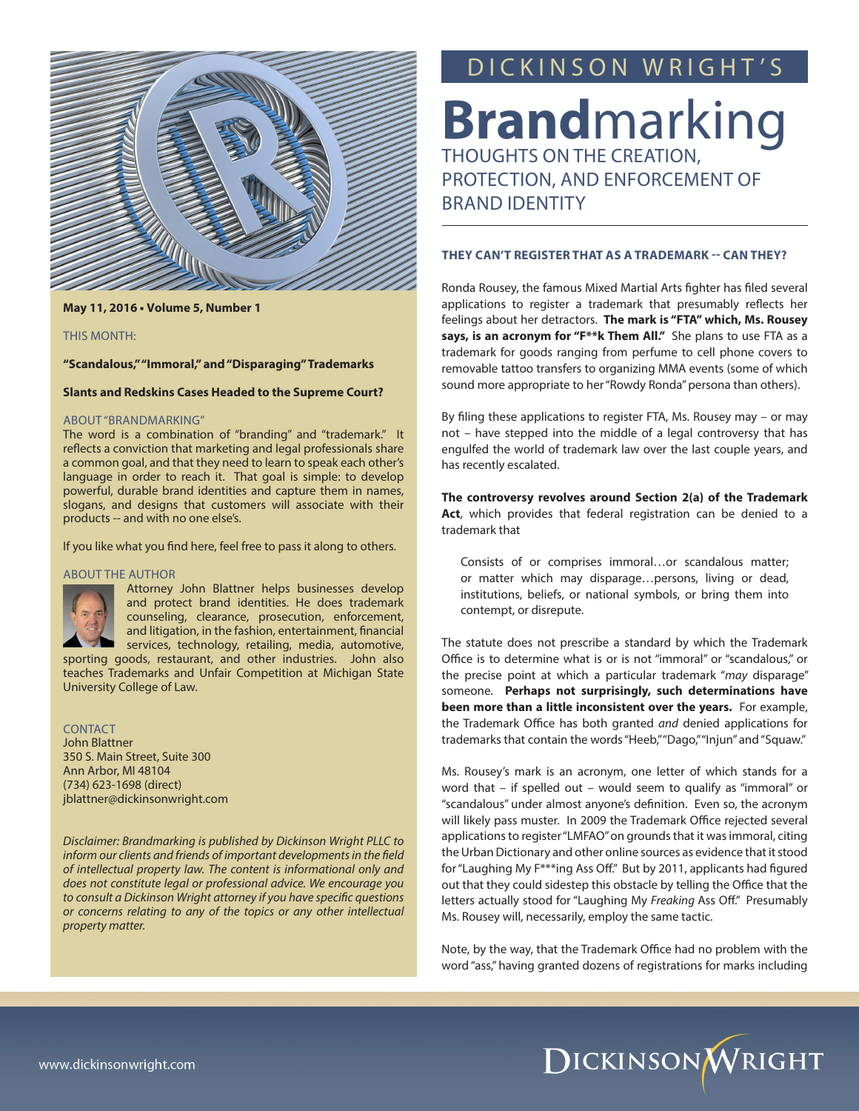

**May 11, 2016 • Volume 5, Number 1**

#### THIS MONTH:

**"Scandalous," "Immoral," and "Disparaging" Trademarks**

#### **Slants and Redskins Cases Headed to the Supreme Court?**

#### ABOUT "BRANDMARKING"

The word is a combination of "branding" and "trademark." It reflects a conviction that marketing and legal professionals share a common goal, and that they need to learn to speak each other's language in order to reach it. That goal is simple: to develop powerful, durable brand identities and capture them in names, slogans, and designs that customers will associate with their products -- and with no one else's.

If you like what you find here, feel free to pass it along to others.

#### ABOUT THE AUTHOR



Attorney John Blattner helps businesses develop and protect brand identities. He does trademark counseling, clearance, prosecution, enforcement, and litigation, in the fashion, entertainment, financial services, technology, retailing, media, automotive,

sporting goods, restaurant, and other industries. John also teaches Trademarks and Unfair Competition at Michigan State University College of Law.

CONTACT John Blattner 350 S. Main Street, Suite 300 Ann Arbor, MI 48104 (734) 623-1698 (direct) jblattner@dickinsonwright.com

*Disclaimer: Brandmarking is published by Dickinson Wright PLLC to inform our clients and friends of important developments in the field of intellectual property law. The content is informational only and does not constitute legal or professional advice. We encourage you to consult a Dickinson Wright attorney if you have specific questions or concerns relating to any of the topics or any other intellectual property matter.*

## DICKINSON WRIGHT'S

**Brand**marking PROTECTION, AND ENFORCEMENT OF BRAND IDENTITY

#### **THEY CAN'T REGISTER THAT AS A TRADEMARK -- CAN THEY?**

Ronda Rousey, the famous Mixed Martial Arts fighter has filed several applications to register a trademark that presumably reflects her feelings about her detractors. **The mark is "FTA" which, Ms. Rousey says, is an acronym for "F\*\*k Them All."** She plans to use FTA as a trademark for goods ranging from perfume to cell phone covers to removable tattoo transfers to organizing MMA events (some of which sound more appropriate to her "Rowdy Ronda" persona than others).

By filing these applications to register FTA, Ms. Rousey may – or may not – have stepped into the middle of a legal controversy that has engulfed the world of trademark law over the last couple years, and has recently escalated.

**The controversy revolves around Section 2(a) of the Trademark Act**, which provides that federal registration can be denied to a trademark that

Consists of or comprises immoral…or scandalous matter; or matter which may disparage…persons, living or dead, institutions, beliefs, or national symbols, or bring them into contempt, or disrepute.

The statute does not prescribe a standard by which the Trademark Office is to determine what is or is not "immoral" or "scandalous," or the precise point at which a particular trademark "*may* disparage" someone. **Perhaps not surprisingly, such determinations have been more than a little inconsistent over the years.** For example, the Trademark Office has both granted *and* denied applications for trademarks that contain the words "Heeb," "Dago," "Injun" and "Squaw."

Ms. Rousey's mark is an acronym, one letter of which stands for a word that – if spelled out – would seem to qualify as "immoral" or "scandalous" under almost anyone's definition. Even so, the acronym will likely pass muster. In 2009 the Trademark Office rejected several applications to register "LMFAO" on grounds that it was immoral, citing the Urban Dictionary and other online sources as evidence that it stood for "Laughing My F\*\*\*ing Ass Off." But by 2011, applicants had figured out that they could sidestep this obstacle by telling the Office that the letters actually stood for "Laughing My *Freaking* Ass Off." Presumably Ms. Rousey will, necessarily, employ the same tactic.

Note, by the way, that the Trademark Office had no problem with the word "ass," having granted dozens of registrations for marks including